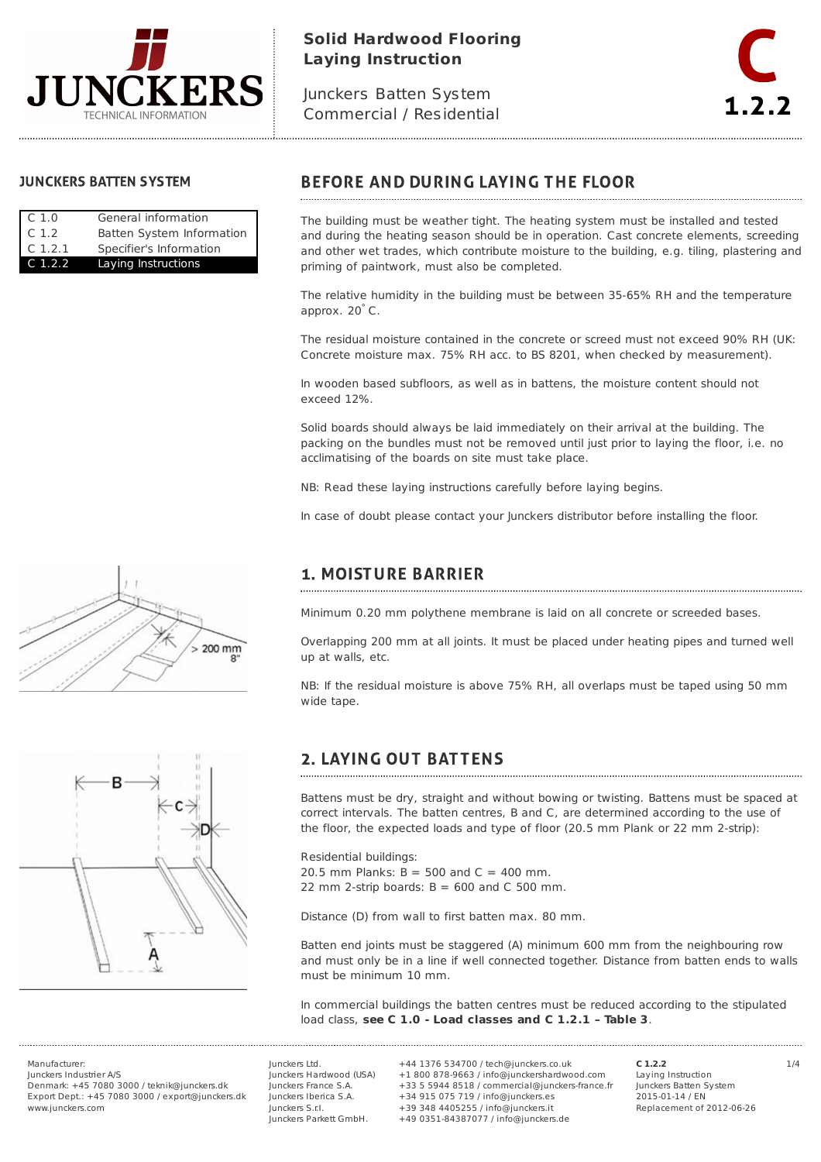

## **Solid Hardwood Flooring Laying Instruction**

Junckers Batten System Commercial / Residential



## **JUNCKERS BATTEN SYSTEM**

| C.1.0     | General information       |
|-----------|---------------------------|
| C.1.2     | Batten System Information |
| C.1.2.1   | Specifier's Information   |
| $C$ 1.2.2 | Laying Instructions       |

# **BEFORE AND DURING LAYING THE FLOOR**

The building must be weather tight. The heating system must be installed and tested and during the heating season should be in operation. Cast concrete elements, screeding and other wet trades, which contribute moisture to the building, e.g. tiling, plastering and priming of paintwork, must also be completed.

The relative humidity in the building must be between 35-65% RH and the temperature approx. 20°C.

The residual moisture contained in the concrete or screed must not exceed 90% RH (UK: Concrete moisture max. 75% RH acc. to BS 8201, when checked by measurement).

In wooden based subfloors, as well as in battens, the moisture content should not exceed 12%.

Solid boards should always be laid immediately on their arrival at the building. The packing on the bundles must not be removed until just prior to laying the floor, i.e. no acclimatising of the boards on site must take place.

NB: Read these laying instructions carefully before laying begins.

In case of doubt please contact your Junckers distributor before installing the floor.



## **1. MOISTURE BARRIER**

Minimum 0.20 mm polythene membrane is laid on all concrete or screeded bases.

Overlapping 200 mm at all joints. It must be placed under heating pipes and turned well up at walls, etc.

NB: If the residual moisture is above 75% RH, all overlaps must be taped using 50 mm wide tape.

# **2. LAYING OUT BATTENS**

Battens must be dry, straight and without bowing or twisting. Battens must be spaced at correct intervals. The batten centres, B and C, are determined according to the use of the floor, the expected loads and type of floor (20.5 mm Plank or 22 mm 2-strip):

Residential buildings: 20.5 mm Planks:  $B = 500$  and  $C = 400$  mm. 22 mm 2-strip boards:  $B = 600$  and C 500 mm.

Distance (D) from wall to first batten max. 80 mm.

Batten end joints must be staggered (A) minimum 600 mm from the neighbouring row and must only be in a line if well connected together. Distance from batten ends to walls must be minimum 10 mm.

In commercial buildings the batten centres must be reduced according to the stipulated load class, **see C 1.0 - Load classes and C 1.2.1 – Table 3**.

Manufacturer: 1/4 +44 1376 534700 / tech@junckers.co.uk Junckers Industrier A/S Denmark: +45 7080 3000 / teknik@junckers.dk Export Dept.: +45 7080 3000 / export@junckers.dk www.junckers.com

Junckers Ltd. Junckers Hardwood (USA) Junckers France S.A. Junckers Iberica S.A. Junckers S.r.I. Junckers Parkett GmbH.

+1 800 878-9663 / info@junckershardwood.com +33 5 5944 8518 / commercial@junckers-france.fr +34 915 075 719 / info@junckers.es +39 348 4405255 / info@junckers.it +49 0351-84387077 / info@junckers.de

**C 1.2.2** Laying Instruction Junckers Batten System 2015-01-14 / EN Replacement of 2012-06-26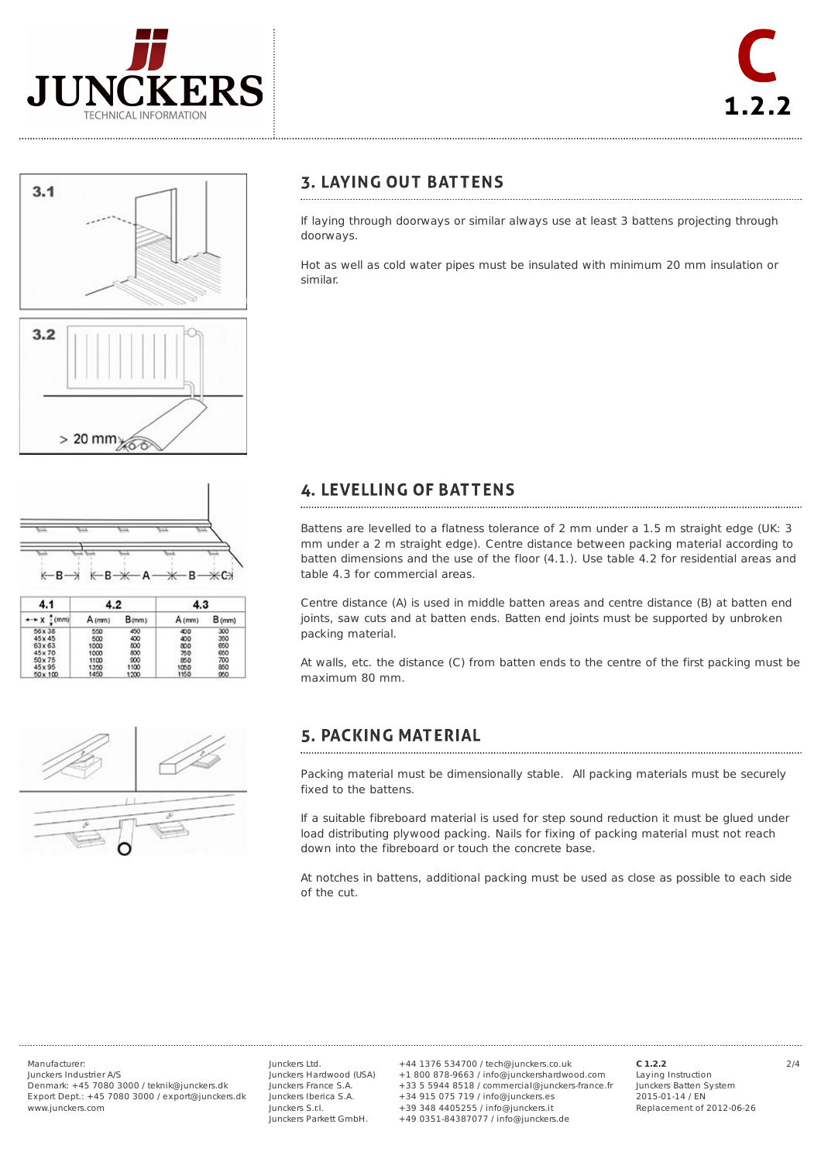







| 4.1<br>mm       | 4.2    |            | 4.3    |        |
|-----------------|--------|------------|--------|--------|
|                 | A (mm) | $B_{(mm)}$ | A (mm) | B(rmn) |
| 56 x 38         | 550    | 450        | 400    | 300    |
| 45x45           | 500    | 400        | 400    | 350    |
| $63 \times 63$  | 1000   | 800        | 800    | 650    |
| $45 \times 70$  | 1000   | 800        | 750    | 650    |
| $50 \times 75$  | 1100   | 900        | 850    | 700    |
| 45 x 95         | 1350   | 1100       | 1050   | 850    |
| $50 \times 100$ | 1450   | 1200       | 1150   | 950    |



## **3. LAYING OUT BATTENS**

If laying through doorways or similar always use at least 3 battens projecting through doorways.

Hot as well as cold water pipes must be insulated with minimum 20 mm insulation or similar.

### **4. LEVELLING OF BATTENS**

Battens are levelled to a flatness tolerance of 2 mm under a 1.5 m straight edge (UK: 3 mm under a 2 m straight edge). Centre distance between packing material according to batten dimensions and the use of the floor (4.1.). Use table 4.2 for residential areas and table 4.3 for commercial areas.

Centre distance (A) is used in middle batten areas and centre distance (B) at batten end joints, saw cuts and at batten ends. Batten end joints must be supported by unbroken packing material.

At walls, etc. the distance (C) from batten ends to the centre of the first packing must be maximum 80 mm.

# **5. PACKING MATERIAL**

Packing material must be dimensionally stable. All packing materials must be securely fixed to the battens.

If a suitable fibreboard material is used for step sound reduction it must be glued under load distributing plywood packing. Nails for fixing of packing material must not reach down into the fibreboard or touch the concrete base.

At notches in battens, additional packing must be used as close as possible to each side of the cut.

Junckers Industrier A/S Denmark: +45 7080 3000 / teknik@junckers.dk Export Dept.: +45 7080 3000 / export@junckers.dk www.junckers.com

Junckers Ltd. Junckers Hardwood (USA) Junckers France S.A. Junckers Iberica S.A. Junckers S.r.I. Junckers Parkett GmbH.

Manufacturer: 2/4 +44 1376 534700 / tech@junckers.co.uk +1 800 878-9663 / info@junckershardwood.com +33 5 5944 8518 / commercial@junckers-france.fr +34 915 075 719 / info@junckers.es +39 348 4405255 / info@junckers.it +49 0351-84387077 / info@junckers.de

**C 1.2.2** Laying Instruction Junckers Batten System 2015-01-14 / EN Replacement of 2012-06-26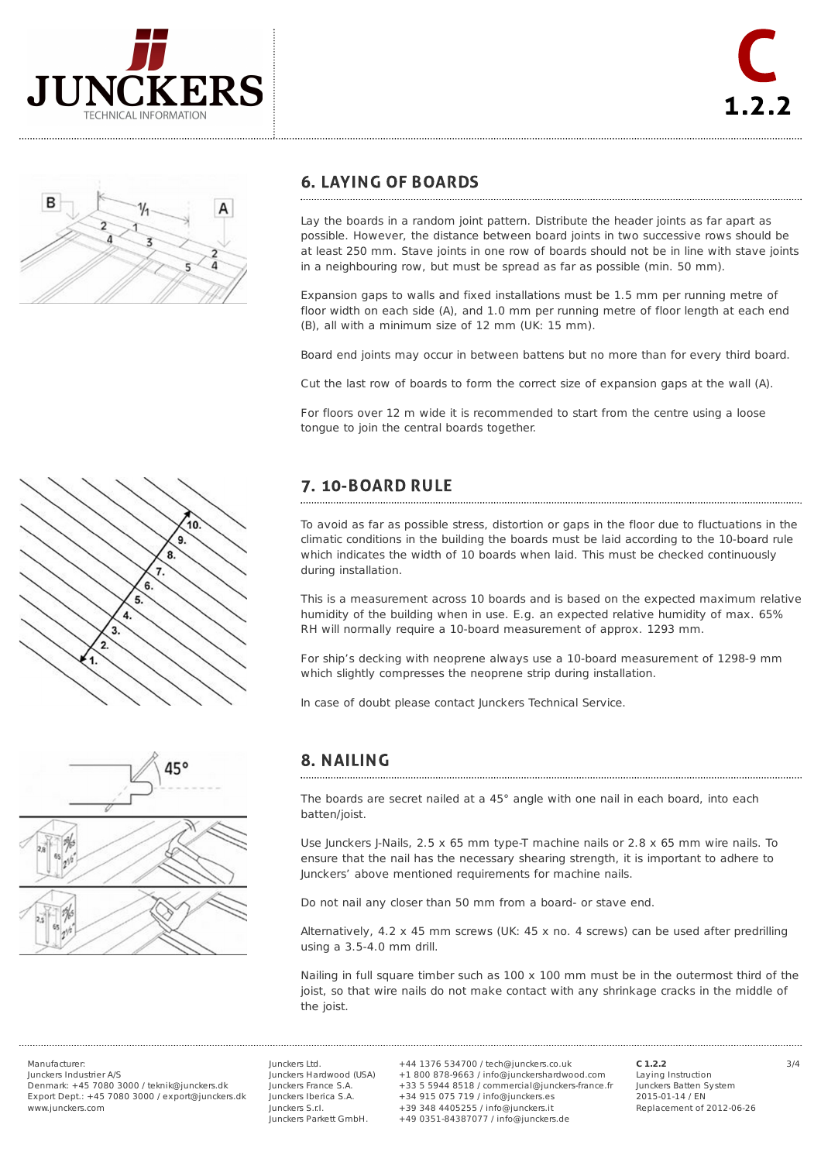





## **6. LAYING OF BOARDS**

Lay the boards in a random joint pattern. Distribute the header joints as far apart as possible. However, the distance between board joints in two successive rows should be at least 250 mm. Stave joints in one row of boards should not be in line with stave joints in a neighbouring row, but must be spread as far as possible (min. 50 mm).

Expansion gaps to walls and fixed installations must be 1.5 mm per running metre of floor width on each side (A), and 1.0 mm per running metre of floor length at each end (B), all with a minimum size of 12 mm (UK: 15 mm).

Board end joints may occur in between battens but no more than for every third board.

Cut the last row of boards to form the correct size of expansion gaps at the wall (A).

For floors over 12 m wide it is recommended to start from the centre using a loose tongue to join the central boards together.

### 7. 10-BOARD RULE

To avoid as far as possible stress, distortion or gaps in the floor due to fluctuations in the climatic conditions in the building the boards must be laid according to the 10-board rule which indicates the width of 10 boards when laid. This must be checked continuously during installation.

This is a measurement across 10 boards and is based on the expected maximum relative humidity of the building when in use. E.g. an expected relative humidity of max. 65% RH will normally require a 10-board measurement of approx. 1293 mm.

For ship's decking with neoprene always use a 10-board measurement of 1298-9 mm which slightly compresses the neoprene strip during installation.

In case of doubt please contact Junckers Technical Service.



## 8. NAILING

The boards are secret nailed at a 45° angle with one nail in each board, into each batten/joist.

Use Junckers J-Nails,  $2.5 \times 65$  mm type-T machine nails or  $2.8 \times 65$  mm wire nails. To ensure that the nail has the necessary shearing strength, it is important to adhere to Junckers' above mentioned requirements for machine nails.

Do not nail any closer than 50 mm from a board- or stave end.

Alternatively, 4.2 x 45 mm screws (UK: 45 x no. 4 screws) can be used after predrilling using a 3.5-4.0 mm drill.

Nailing in full square timber such as  $100 \times 100$  mm must be in the outermost third of the joist, so that wire nails do not make contact with any shrinkage cracks in the middle of the joist.

Junckers Industrier A/S Denmark: +45 7080 3000 / teknik@junckers.dk Export Dept.: +45 7080 3000 / export@junckers.dk www.junckers.com

Junckers Ltd. Junckers Hardwood (USA) Junckers France S.A. Junckers Iberica S.A. Junckers S.r.I. Junckers Parkett GmbH.

Manufacturer: 3/4 +44 1376 534700 / tech@junckers.co.uk +1 800 878-9663 / info@junckershardwood.com +33 5 5944 8518 / commercial@junckers-france.fr +34 915 075 719 / info@junckers.es +39 348 4405255 / info@junckers.it +49 0351-84387077 / info@junckers.de

**C 1.2.2** Laying Instruction Junckers Batten System 2015-01-14 / EN Replacement of 2012-06-26

 $10$ 9. 8 6 5  $\overline{4}$ 3